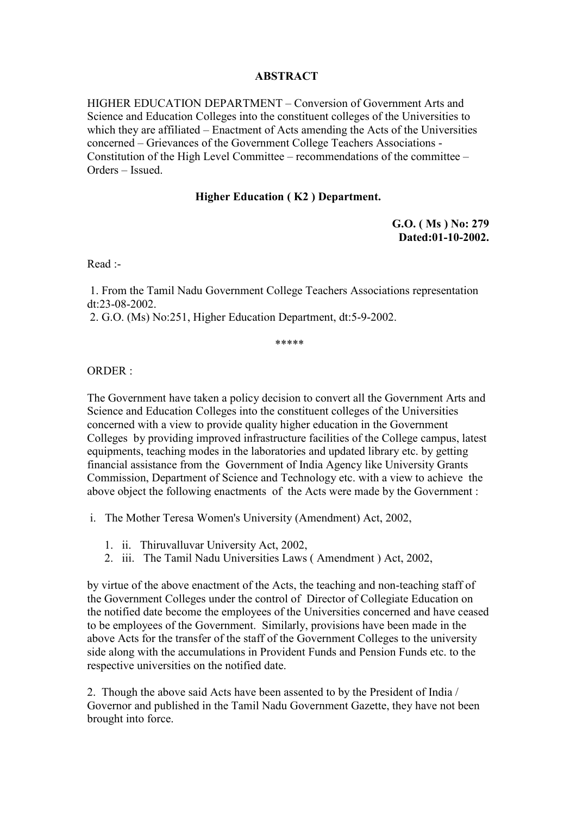## **ABSTRACT**

HIGHER EDUCATION DEPARTMENT – Conversion of Government Arts and Science and Education Colleges into the constituent colleges of the Universities to which they are affiliated – Enactment of Acts amending the Acts of the Universities concerned – Grievances of the Government College Teachers Associations - Constitution of the High Level Committee – recommendations of the committee – Orders – Issued.

## **Higher Education ( K2 ) Department.**

**G.O. ( Ms ) No: 279 Dated:01-10-2002.** 

Read :-

 1. From the Tamil Nadu Government College Teachers Associations representation dt:23-08-2002.

2. G.O. (Ms) No:251, Higher Education Department, dt:5-9-2002.

\*\*\*\*\*

ORDER :

The Government have taken a policy decision to convert all the Government Arts and Science and Education Colleges into the constituent colleges of the Universities concerned with a view to provide quality higher education in the Government Colleges by providing improved infrastructure facilities of the College campus, latest equipments, teaching modes in the laboratories and updated library etc. by getting financial assistance from the Government of India Agency like University Grants Commission, Department of Science and Technology etc. with a view to achieve the above object the following enactments of the Acts were made by the Government :

i. The Mother Teresa Women's University (Amendment) Act, 2002,

- 1. ii. Thiruvalluvar University Act, 2002,
- 2. iii. The Tamil Nadu Universities Laws ( Amendment ) Act, 2002,

by virtue of the above enactment of the Acts, the teaching and non-teaching staff of the Government Colleges under the control of Director of Collegiate Education on the notified date become the employees of the Universities concerned and have ceased to be employees of the Government. Similarly, provisions have been made in the above Acts for the transfer of the staff of the Government Colleges to the university side along with the accumulations in Provident Funds and Pension Funds etc. to the respective universities on the notified date.

2. Though the above said Acts have been assented to by the President of India / Governor and published in the Tamil Nadu Government Gazette, they have not been brought into force.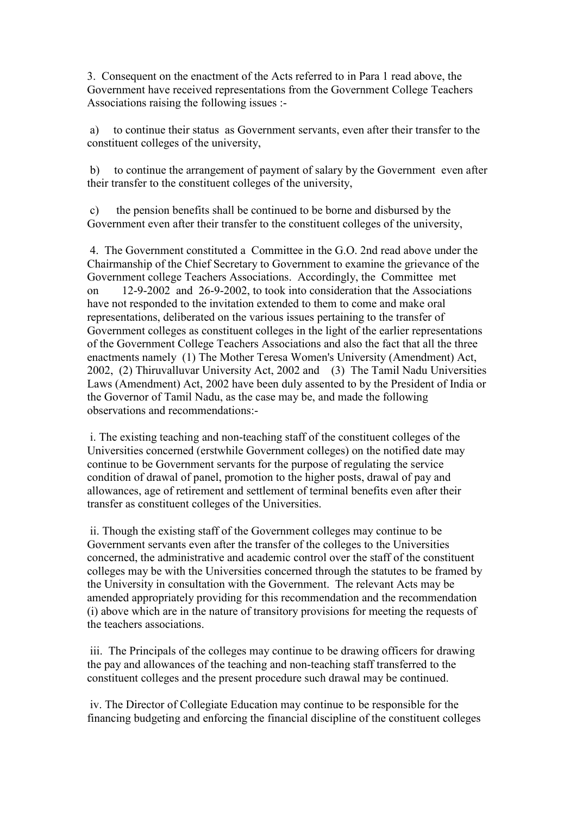3. Consequent on the enactment of the Acts referred to in Para 1 read above, the Government have received representations from the Government College Teachers Associations raising the following issues :-

 a) to continue their status as Government servants, even after their transfer to the constituent colleges of the university,

 b) to continue the arrangement of payment of salary by the Government even after their transfer to the constituent colleges of the university,

 c) the pension benefits shall be continued to be borne and disbursed by the Government even after their transfer to the constituent colleges of the university,

 4. The Government constituted a Committee in the G.O. 2nd read above under the Chairmanship of the Chief Secretary to Government to examine the grievance of the Government college Teachers Associations. Accordingly, the Committee met on 12-9-2002 and 26-9-2002, to took into consideration that the Associations have not responded to the invitation extended to them to come and make oral representations, deliberated on the various issues pertaining to the transfer of Government colleges as constituent colleges in the light of the earlier representations of the Government College Teachers Associations and also the fact that all the three enactments namely (1) The Mother Teresa Women's University (Amendment) Act, 2002, (2) Thiruvalluvar University Act, 2002 and (3) The Tamil Nadu Universities Laws (Amendment) Act, 2002 have been duly assented to by the President of India or the Governor of Tamil Nadu, as the case may be, and made the following observations and recommendations:-

 i. The existing teaching and non-teaching staff of the constituent colleges of the Universities concerned (erstwhile Government colleges) on the notified date may continue to be Government servants for the purpose of regulating the service condition of drawal of panel, promotion to the higher posts, drawal of pay and allowances, age of retirement and settlement of terminal benefits even after their transfer as constituent colleges of the Universities.

 ii. Though the existing staff of the Government colleges may continue to be Government servants even after the transfer of the colleges to the Universities concerned, the administrative and academic control over the staff of the constituent colleges may be with the Universities concerned through the statutes to be framed by the University in consultation with the Government. The relevant Acts may be amended appropriately providing for this recommendation and the recommendation (i) above which are in the nature of transitory provisions for meeting the requests of the teachers associations.

 iii. The Principals of the colleges may continue to be drawing officers for drawing the pay and allowances of the teaching and non-teaching staff transferred to the constituent colleges and the present procedure such drawal may be continued.

 iv. The Director of Collegiate Education may continue to be responsible for the financing budgeting and enforcing the financial discipline of the constituent colleges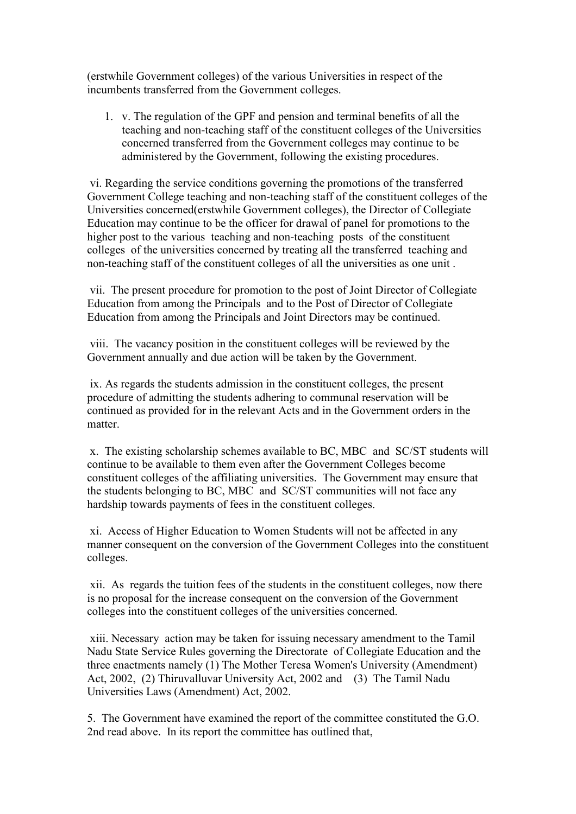(erstwhile Government colleges) of the various Universities in respect of the incumbents transferred from the Government colleges.

1. v. The regulation of the GPF and pension and terminal benefits of all the teaching and non-teaching staff of the constituent colleges of the Universities concerned transferred from the Government colleges may continue to be administered by the Government, following the existing procedures.

 vi. Regarding the service conditions governing the promotions of the transferred Government College teaching and non-teaching staff of the constituent colleges of the Universities concerned(erstwhile Government colleges), the Director of Collegiate Education may continue to be the officer for drawal of panel for promotions to the higher post to the various teaching and non-teaching posts of the constituent colleges of the universities concerned by treating all the transferred teaching and non-teaching staff of the constituent colleges of all the universities as one unit .

 vii. The present procedure for promotion to the post of Joint Director of Collegiate Education from among the Principals and to the Post of Director of Collegiate Education from among the Principals and Joint Directors may be continued.

 viii. The vacancy position in the constituent colleges will be reviewed by the Government annually and due action will be taken by the Government.

 ix. As regards the students admission in the constituent colleges, the present procedure of admitting the students adhering to communal reservation will be continued as provided for in the relevant Acts and in the Government orders in the matter.

 x. The existing scholarship schemes available to BC, MBC and SC/ST students will continue to be available to them even after the Government Colleges become constituent colleges of the affiliating universities. The Government may ensure that the students belonging to BC, MBC and SC/ST communities will not face any hardship towards payments of fees in the constituent colleges.

 xi. Access of Higher Education to Women Students will not be affected in any manner consequent on the conversion of the Government Colleges into the constituent colleges.

 xii. As regards the tuition fees of the students in the constituent colleges, now there is no proposal for the increase consequent on the conversion of the Government colleges into the constituent colleges of the universities concerned.

 xiii. Necessary action may be taken for issuing necessary amendment to the Tamil Nadu State Service Rules governing the Directorate of Collegiate Education and the three enactments namely (1) The Mother Teresa Women's University (Amendment) Act, 2002, (2) Thiruvalluvar University Act, 2002 and (3) The Tamil Nadu Universities Laws (Amendment) Act, 2002.

5. The Government have examined the report of the committee constituted the G.O. 2nd read above. In its report the committee has outlined that,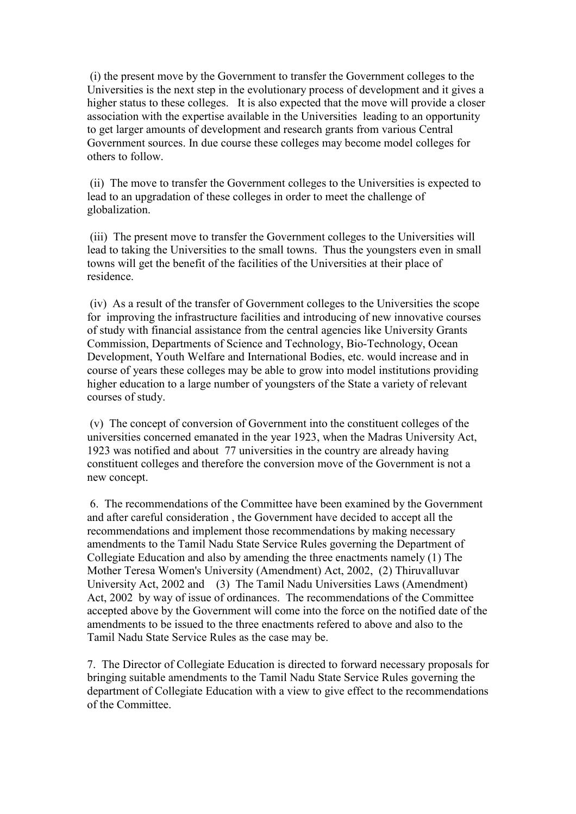(i) the present move by the Government to transfer the Government colleges to the Universities is the next step in the evolutionary process of development and it gives a higher status to these colleges. It is also expected that the move will provide a closer association with the expertise available in the Universities leading to an opportunity to get larger amounts of development and research grants from various Central Government sources. In due course these colleges may become model colleges for others to follow.

 (ii) The move to transfer the Government colleges to the Universities is expected to lead to an upgradation of these colleges in order to meet the challenge of globalization.

 (iii) The present move to transfer the Government colleges to the Universities will lead to taking the Universities to the small towns. Thus the youngsters even in small towns will get the benefit of the facilities of the Universities at their place of residence.

 (iv) As a result of the transfer of Government colleges to the Universities the scope for improving the infrastructure facilities and introducing of new innovative courses of study with financial assistance from the central agencies like University Grants Commission, Departments of Science and Technology, Bio-Technology, Ocean Development, Youth Welfare and International Bodies, etc. would increase and in course of years these colleges may be able to grow into model institutions providing higher education to a large number of youngsters of the State a variety of relevant courses of study.

 (v) The concept of conversion of Government into the constituent colleges of the universities concerned emanated in the year 1923, when the Madras University Act, 1923 was notified and about 77 universities in the country are already having constituent colleges and therefore the conversion move of the Government is not a new concept.

 6. The recommendations of the Committee have been examined by the Government and after careful consideration , the Government have decided to accept all the recommendations and implement those recommendations by making necessary amendments to the Tamil Nadu State Service Rules governing the Department of Collegiate Education and also by amending the three enactments namely (1) The Mother Teresa Women's University (Amendment) Act, 2002, (2) Thiruvalluvar University Act, 2002 and (3) The Tamil Nadu Universities Laws (Amendment) Act, 2002 by way of issue of ordinances. The recommendations of the Committee accepted above by the Government will come into the force on the notified date of the amendments to be issued to the three enactments refered to above and also to the Tamil Nadu State Service Rules as the case may be.

7. The Director of Collegiate Education is directed to forward necessary proposals for bringing suitable amendments to the Tamil Nadu State Service Rules governing the department of Collegiate Education with a view to give effect to the recommendations of the Committee.